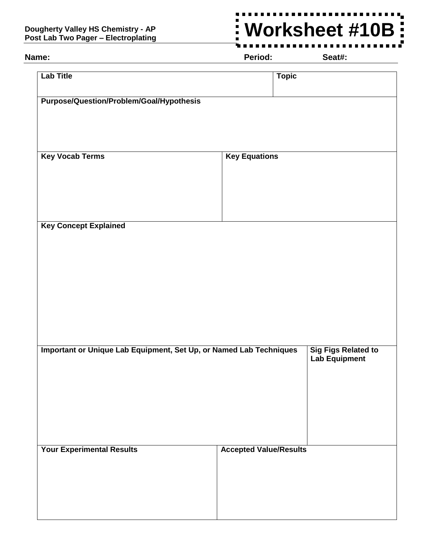## **Dougherty Valley HS Chemistry - AP Post Lab Two Pager – Electroplating**

## **Worksheet #10B** $\overline{\phantom{a}}$

**Name: Period: Seat#:**

| <b>Lab Title</b>                                                   | <b>Topic</b>                                       |
|--------------------------------------------------------------------|----------------------------------------------------|
| <b>Purpose/Question/Problem/Goal/Hypothesis</b>                    |                                                    |
|                                                                    |                                                    |
| <b>Key Vocab Terms</b>                                             | <b>Key Equations</b>                               |
|                                                                    |                                                    |
|                                                                    |                                                    |
| <b>Key Concept Explained</b>                                       |                                                    |
|                                                                    |                                                    |
|                                                                    |                                                    |
|                                                                    |                                                    |
|                                                                    |                                                    |
|                                                                    |                                                    |
| Important or Unique Lab Equipment, Set Up, or Named Lab Techniques | <b>Sig Figs Related to</b><br><b>Lab Equipment</b> |
|                                                                    |                                                    |
|                                                                    |                                                    |
|                                                                    |                                                    |
| <b>Your Experimental Results</b>                                   | <b>Accepted Value/Results</b>                      |
|                                                                    |                                                    |
|                                                                    |                                                    |
|                                                                    |                                                    |

 $\blacksquare$